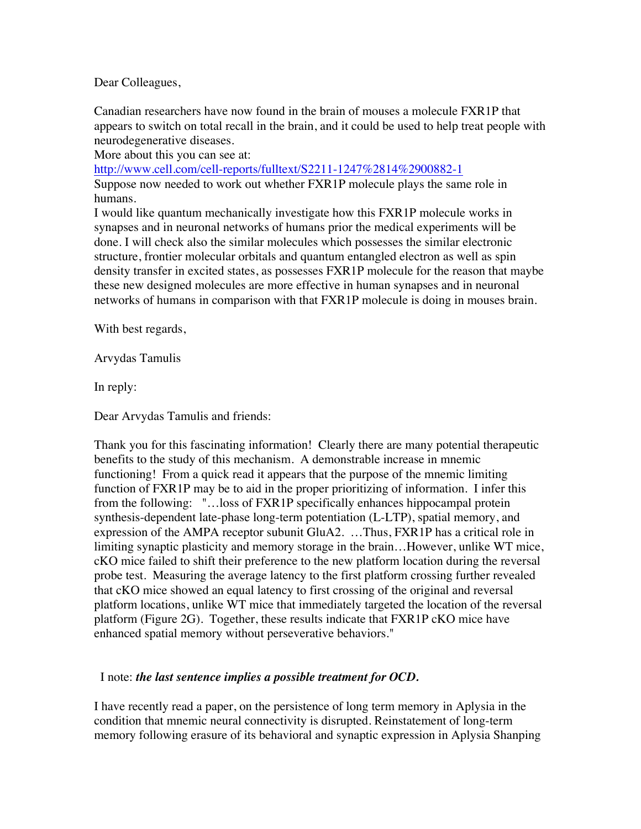Dear Colleagues,

Canadian researchers have now found in the brain of mouses a molecule FXR1P that appears to switch on total recall in the brain, and it could be used to help treat people with neurodegenerative diseases.

More about this you can see at:

http://www.cell.com/cell-reports/fulltext/S2211-1247%2814%2900882-1 Suppose now needed to work out whether FXR1P molecule plays the same role in humans.

I would like quantum mechanically investigate how this FXR1P molecule works in synapses and in neuronal networks of humans prior the medical experiments will be done. I will check also the similar molecules which possesses the similar electronic structure, frontier molecular orbitals and quantum entangled electron as well as spin density transfer in excited states, as possesses FXR1P molecule for the reason that maybe these new designed molecules are more effective in human synapses and in neuronal networks of humans in comparison with that FXR1P molecule is doing in mouses brain.

With best regards,

Arvydas Tamulis

In reply:

Dear Arvydas Tamulis and friends:

Thank you for this fascinating information! Clearly there are many potential therapeutic benefits to the study of this mechanism. A demonstrable increase in mnemic functioning! From a quick read it appears that the purpose of the mnemic limiting function of FXR1P may be to aid in the proper prioritizing of information. I infer this from the following: "…loss of FXR1P specifically enhances hippocampal protein synthesis-dependent late-phase long-term potentiation (L-LTP), spatial memory, and expression of the AMPA receptor subunit GluA2. …Thus, FXR1P has a critical role in limiting synaptic plasticity and memory storage in the brain...However, unlike WT mice, cKO mice failed to shift their preference to the new platform location during the reversal probe test. Measuring the average latency to the first platform crossing further revealed that cKO mice showed an equal latency to first crossing of the original and reversal platform locations, unlike WT mice that immediately targeted the location of the reversal platform (Figure 2G). Together, these results indicate that FXR1P cKO mice have enhanced spatial memory without perseverative behaviors."

## I note: *the last sentence implies a possible treatment for OCD.*

I have recently read a paper, on the persistence of long term memory in Aplysia in the condition that mnemic neural connectivity is disrupted. Reinstatement of long-term memory following erasure of its behavioral and synaptic expression in Aplysia Shanping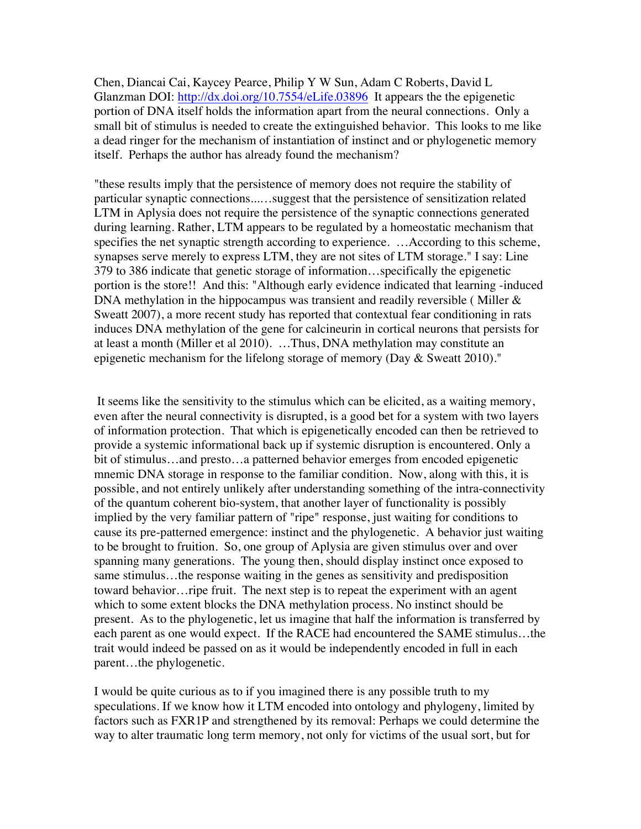Chen, Diancai Cai, Kaycey Pearce, Philip Y W Sun, Adam C Roberts, David L Glanzman DOI: http://dx.doi.org/10.7554/eLife.03896 It appears the the epigenetic portion of DNA itself holds the information apart from the neural connections. Only a small bit of stimulus is needed to create the extinguished behavior. This looks to me like a dead ringer for the mechanism of instantiation of instinct and or phylogenetic memory itself. Perhaps the author has already found the mechanism?

"these results imply that the persistence of memory does not require the stability of particular synaptic connections...…suggest that the persistence of sensitization related LTM in Aplysia does not require the persistence of the synaptic connections generated during learning. Rather, LTM appears to be regulated by a homeostatic mechanism that specifies the net synaptic strength according to experience. ... According to this scheme, synapses serve merely to express LTM, they are not sites of LTM storage." I say: Line 379 to 386 indicate that genetic storage of information…specifically the epigenetic portion is the store!! And this: "Although early evidence indicated that learning -induced DNA methylation in the hippocampus was transient and readily reversible (Miller  $\&$ Sweatt 2007), a more recent study has reported that contextual fear conditioning in rats induces DNA methylation of the gene for calcineurin in cortical neurons that persists for at least a month (Miller et al 2010). …Thus, DNA methylation may constitute an epigenetic mechanism for the lifelong storage of memory (Day & Sweatt 2010)."

It seems like the sensitivity to the stimulus which can be elicited, as a waiting memory, even after the neural connectivity is disrupted, is a good bet for a system with two layers of information protection. That which is epigenetically encoded can then be retrieved to provide a systemic informational back up if systemic disruption is encountered. Only a bit of stimulus…and presto…a patterned behavior emerges from encoded epigenetic mnemic DNA storage in response to the familiar condition. Now, along with this, it is possible, and not entirely unlikely after understanding something of the intra-connectivity of the quantum coherent bio-system, that another layer of functionality is possibly implied by the very familiar pattern of "ripe" response, just waiting for conditions to cause its pre-patterned emergence: instinct and the phylogenetic. A behavior just waiting to be brought to fruition. So, one group of Aplysia are given stimulus over and over spanning many generations. The young then, should display instinct once exposed to same stimulus…the response waiting in the genes as sensitivity and predisposition toward behavior…ripe fruit. The next step is to repeat the experiment with an agent which to some extent blocks the DNA methylation process. No instinct should be present. As to the phylogenetic, let us imagine that half the information is transferred by each parent as one would expect. If the RACE had encountered the SAME stimulus…the trait would indeed be passed on as it would be independently encoded in full in each parent…the phylogenetic.

I would be quite curious as to if you imagined there is any possible truth to my speculations. If we know how it LTM encoded into ontology and phylogeny, limited by factors such as FXR1P and strengthened by its removal: Perhaps we could determine the way to alter traumatic long term memory, not only for victims of the usual sort, but for